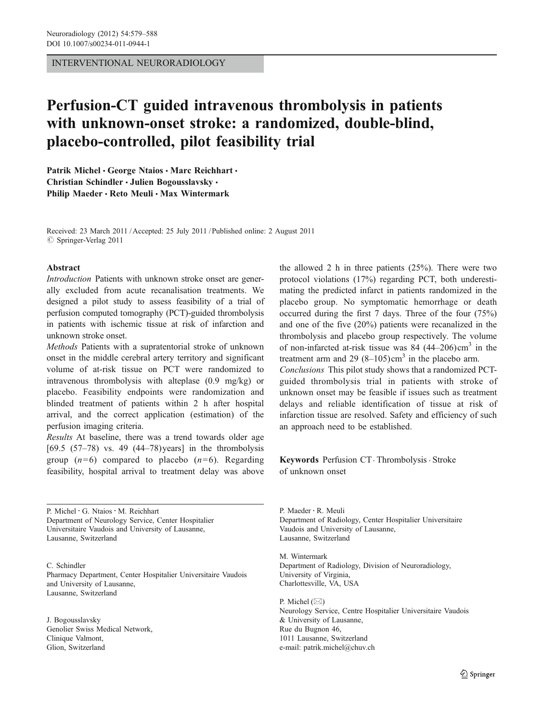INTERVENTIONAL NEURORADIOLOGY

# Perfusion-CT guided intravenous thrombolysis in patients with unknown-onset stroke: a randomized, double-blind, placebo-controlled, pilot feasibility trial

Patrik Michel · George Ntaios · Marc Reichhart · Christian Schindler · Julien Bogousslavsky · Philip Maeder · Reto Meuli · Max Wintermark

Received: 23 March 2011 /Accepted: 25 July 2011 / Published online: 2 August 2011  $\oslash$  Springer-Verlag 2011

## Abstract

Introduction Patients with unknown stroke onset are generally excluded from acute recanalisation treatments. We designed a pilot study to assess feasibility of a trial of perfusion computed tomography (PCT)-guided thrombolysis in patients with ischemic tissue at risk of infarction and unknown stroke onset.

Methods Patients with a supratentorial stroke of unknown onset in the middle cerebral artery territory and significant volume of at-risk tissue on PCT were randomized to intravenous thrombolysis with alteplase (0.9 mg/kg) or placebo. Feasibility endpoints were randomization and blinded treatment of patients within 2 h after hospital arrival, and the correct application (estimation) of the perfusion imaging criteria.

Results At baseline, there was a trend towards older age [69.5 (57–78) vs. 49 (44–78) years] in the thrombolysis group  $(n=6)$  compared to placebo  $(n=6)$ . Regarding feasibility, hospital arrival to treatment delay was above

P. Michel · G. Ntaios · M. Reichhart Department of Neurology Service, Center Hospitalier Universitaire Vaudois and University of Lausanne, Lausanne, Switzerland

C. Schindler Pharmacy Department, Center Hospitalier Universitaire Vaudois and University of Lausanne, Lausanne, Switzerland

J. Bogousslavsky Genolier Swiss Medical Network, Clinique Valmont, Glion, Switzerland

the allowed 2 h in three patients (25%). There were two protocol violations (17%) regarding PCT, both underestimating the predicted infarct in patients randomized in the placebo group. No symptomatic hemorrhage or death occurred during the first 7 days. Three of the four (75%) and one of the five (20%) patients were recanalized in the thrombolysis and placebo group respectively. The volume of non-infarcted at-risk tissue was  $84$  (44–206)cm<sup>3</sup> in the treatment arm and 29  $(8-105)$ cm<sup>3</sup> in the placebo arm. Conclusions This pilot study shows that a randomized PCTguided thrombolysis trial in patients with stroke of unknown onset may be feasible if issues such as treatment delays and reliable identification of tissue at risk of infarction tissue are resolved. Safety and efficiency of such an approach need to be established.

Keywords Perfusion CT. Thrombolysis . Stroke of unknown onset

P. Maeder : R. Meuli Department of Radiology, Center Hospitalier Universitaire Vaudois and University of Lausanne, Lausanne, Switzerland

M. Wintermark Department of Radiology, Division of Neuroradiology, University of Virginia, Charlottesville, VA, USA

P. Michel  $(\boxtimes)$ Neurology Service, Centre Hospitalier Universitaire Vaudois & University of Lausanne, Rue du Bugnon 46, 1011 Lausanne, Switzerland e-mail: patrik.michel@chuv.ch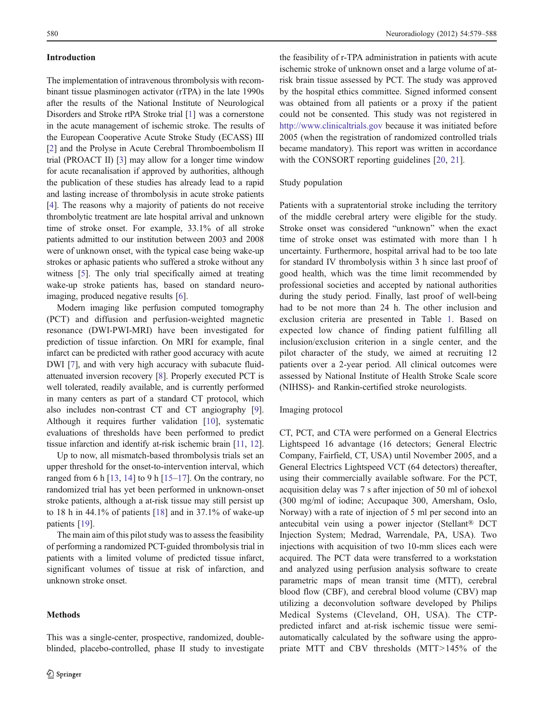## Introduction

The implementation of intravenous thrombolysis with recombinant tissue plasminogen activator (rTPA) in the late 1990s after the results of the National Institute of Neurological Disorders and Stroke rtPA Stroke trial [\[1](#page-8-0)] was a cornerstone in the acute management of ischemic stroke. The results of the European Cooperative Acute Stroke Study (ECASS) III [\[2](#page-8-0)] and the Prolyse in Acute Cerebral Thromboembolism II trial (PROACT II) [[3](#page-8-0)] may allow for a longer time window for acute recanalisation if approved by authorities, although the publication of these studies has already lead to a rapid and lasting increase of thrombolysis in acute stroke patients [\[4](#page-8-0)]. The reasons why a majority of patients do not receive thrombolytic treatment are late hospital arrival and unknown time of stroke onset. For example, 33.1% of all stroke patients admitted to our institution between 2003 and 2008 were of unknown onset, with the typical case being wake-up strokes or aphasic patients who suffered a stroke without any witness [[5](#page-8-0)]. The only trial specifically aimed at treating wake-up stroke patients has, based on standard neuroimaging, produced negative results [[6](#page-8-0)].

Modern imaging like perfusion computed tomography (PCT) and diffusion and perfusion-weighted magnetic resonance (DWI-PWI-MRI) have been investigated for prediction of tissue infarction. On MRI for example, final infarct can be predicted with rather good accuracy with acute DWI [\[7](#page-8-0)], and with very high accuracy with subacute fluidattenuated inversion recovery [[8\]](#page-8-0). Properly executed PCT is well tolerated, readily available, and is currently performed in many centers as part of a standard CT protocol, which also includes non-contrast CT and CT angiography [[9\]](#page-8-0). Although it requires further validation [[10\]](#page-8-0), systematic evaluations of thresholds have been performed to predict tissue infarction and identify at-risk ischemic brain [[11](#page-8-0), [12\]](#page-8-0).

Up to now, all mismatch-based thrombolysis trials set an upper threshold for the onset-to-intervention interval, which ranged from 6 h  $[13, 14]$  $[13, 14]$  $[13, 14]$  $[13, 14]$  to 9 h  $[15–17]$  $[15–17]$  $[15–17]$  $[15–17]$ . On the contrary, no randomized trial has yet been performed in unknown-onset stroke patients, although a at-risk tissue may still persist up to 18 h in 44.1% of patients [[18\]](#page-8-0) and in 37.1% of wake-up patients [\[19](#page-8-0)].

The main aim of this pilot study was to assess the feasibility of performing a randomized PCT-guided thrombolysis trial in patients with a limited volume of predicted tissue infarct, significant volumes of tissue at risk of infarction, and unknown stroke onset.

## Methods

This was a single-center, prospective, randomized, doubleblinded, placebo-controlled, phase II study to investigate

the feasibility of r-TPA administration in patients with acute ischemic stroke of unknown onset and a large volume of atrisk brain tissue assessed by PCT. The study was approved by the hospital ethics committee. Signed informed consent was obtained from all patients or a proxy if the patient could not be consented. This study was not registered in <http://www.clinicaltrials.gov> because it was initiated before 2005 (when the registration of randomized controlled trials became mandatory). This report was written in accordance with the CONSORT reporting guidelines [[20,](#page-9-0) [21\]](#page-9-0).

## Study population

Patients with a supratentorial stroke including the territory of the middle cerebral artery were eligible for the study. Stroke onset was considered "unknown" when the exact time of stroke onset was estimated with more than 1 h uncertainty. Furthermore, hospital arrival had to be too late for standard IV thrombolysis within 3 h since last proof of good health, which was the time limit recommended by professional societies and accepted by national authorities during the study period. Finally, last proof of well-being had to be not more than 24 h. The other inclusion and exclusion criteria are presented in Table [1.](#page-2-0) Based on expected low chance of finding patient fulfilling all inclusion/exclusion criterion in a single center, and the pilot character of the study, we aimed at recruiting 12 patients over a 2-year period. All clinical outcomes were assessed by National Institute of Health Stroke Scale score (NIHSS)- and Rankin-certified stroke neurologists.

## Imaging protocol

CT, PCT, and CTA were performed on a General Electrics Lightspeed 16 advantage (16 detectors; General Electric Company, Fairfield, CT, USA) until November 2005, and a General Electrics Lightspeed VCT (64 detectors) thereafter, using their commercially available software. For the PCT, acquisition delay was 7 s after injection of 50 ml of iohexol (300 mg/ml of iodine; Accupaque 300, Amersham, Oslo, Norway) with a rate of injection of 5 ml per second into an antecubital vein using a power injector (Stellant® DCT Injection System; Medrad, Warrendale, PA, USA). Two injections with acquisition of two 10-mm slices each were acquired. The PCT data were transferred to a workstation and analyzed using perfusion analysis software to create parametric maps of mean transit time (MTT), cerebral blood flow (CBF), and cerebral blood volume (CBV) map utilizing a deconvolution software developed by Philips Medical Systems (Cleveland, OH, USA). The CTPpredicted infarct and at-risk ischemic tissue were semiautomatically calculated by the software using the appropriate MTT and CBV thresholds (MTT>145% of the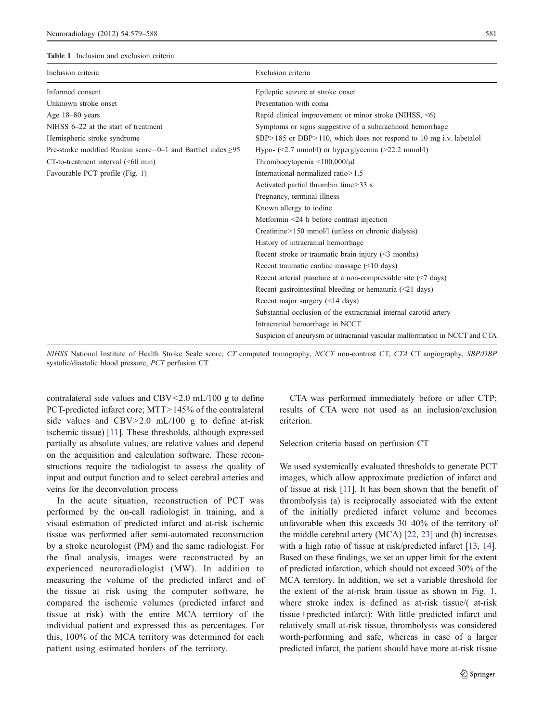#### <span id="page-2-0"></span>Table 1 Inclusion and exclusion criteria

| Inclusion criteria                                               | Exclusion criteria                                                              |
|------------------------------------------------------------------|---------------------------------------------------------------------------------|
| Informed consent                                                 | Epileptic seizure at stroke onset                                               |
| Unknown stroke onset                                             | Presentation with coma                                                          |
| Age 18-80 years                                                  | Rapid clinical improvement or minor stroke (NIHSS, $\leq 6$ )                   |
| NIHSS 6-22 at the start of treatment                             | Symptoms or signs suggestive of a subarachnoid hemorrhage                       |
| Hemispheric stroke syndrome                                      | SBP>185 or DBP>110, which does not respond to 10 mg i.v. labetalol              |
| Pre-stroke modified Rankin score=0-1 and Barthel index $\geq$ 95 | Hypo- $(\leq 2.7 \text{ mmol/l})$ or hyperglycemia $(\geq 22.2 \text{ mmol/l})$ |
| $CT$ -to-treatment interval $(< 60$ min)                         | Thrombocytopenia $\leq 100,000/\mu$ l                                           |
| Favourable PCT profile (Fig. 1)                                  | International normalized ratio > 1.5                                            |
|                                                                  | Activated partial thrombin time>33 s                                            |
|                                                                  | Pregnancy, terminal illness                                                     |
|                                                                  | Known allergy to iodine                                                         |
|                                                                  | Metformin <24 h before contrast injection                                       |
|                                                                  | Creatinine>150 mmol/l (unless on chronic dialysis)                              |
|                                                                  | History of intracranial hemorrhage                                              |
|                                                                  | Recent stroke or traumatic brain injury $(\leq 3 \text{ months})$               |
|                                                                  | Recent traumatic cardiac massage $(\leq 10 \text{ days})$                       |
|                                                                  | Recent arterial puncture at a non-compressible site $(\leq 7 \text{ days})$     |
|                                                                  | Recent gastrointestinal bleeding or hematuria $(\leq 21$ days)                  |
|                                                                  | Recent major surgery $(\leq 14 \text{ days})$                                   |
|                                                                  | Substantial occlusion of the extracranial internal carotid artery               |
|                                                                  | Intracranial hemorrhage in NCCT                                                 |
|                                                                  | Suspicion of aneurysm or intracranial vascular malformation in NCCT and CTA     |

NIHSS National Institute of Health Stroke Scale score, CT computed tomography, NCCT non-contrast CT, CTA CT angiography, SBP/DBP systolic/diastolic blood pressure, PCT perfusion CT

contralateral side values and CBV<2.0 mL/100 g to define PCT-predicted infarct core; MTT>145% of the contralateral side values and  $CBV > 2.0$  mL/100 g to define at-risk ischemic tissue) [\[11\]](#page-8-0). These thresholds, although expressed partially as absolute values, are relative values and depend on the acquisition and calculation software. These reconstructions require the radiologist to assess the quality of input and output function and to select cerebral arteries and veins for the deconvolution process

In the acute situation, reconstruction of PCT was performed by the on-call radiologist in training, and a visual estimation of predicted infarct and at-risk ischemic tissue was performed after semi-automated reconstruction by a stroke neurologist (PM) and the same radiologist. For the final analysis, images were reconstructed by an experienced neuroradiologist (MW). In addition to measuring the volume of the predicted infarct and of the tissue at risk using the computer software, he compared the ischemic volumes (predicted infarct and tissue at risk) with the entire MCA territory of the individual patient and expressed this as percentages. For this, 100% of the MCA territory was determined for each patient using estimated borders of the territory.

CTA was performed immediately before or after CTP; results of CTA were not used as an inclusion/exclusion criterion.

Selection criteria based on perfusion CT

We used systemically evaluated thresholds to generate PCT images, which allow approximate prediction of infarct and of tissue at risk [\[11](#page-8-0)]. It has been shown that the benefit of thrombolysis (a) is reciprocally associated with the extent of the initially predicted infarct volume and becomes unfavorable when this exceeds 30–40% of the territory of the middle cerebral artery (MCA) [[22,](#page-9-0) [23](#page-9-0)] and (b) increases with a high ratio of tissue at risk/predicted infarct [[13,](#page-8-0) [14\]](#page-8-0). Based on these findings, we set an upper limit for the extent of predicted infarction, which should not exceed 30% of the MCA territory. In addition, we set a variable threshold for the extent of the at-risk brain tissue as shown in Fig. [1,](#page-3-0) where stroke index is defined as at-risk tissue/( at-risk tissue+predicted infarct): With little predicted infarct and relatively small at-risk tissue, thrombolysis was considered worth-performing and safe, whereas in case of a larger predicted infarct, the patient should have more at-risk tissue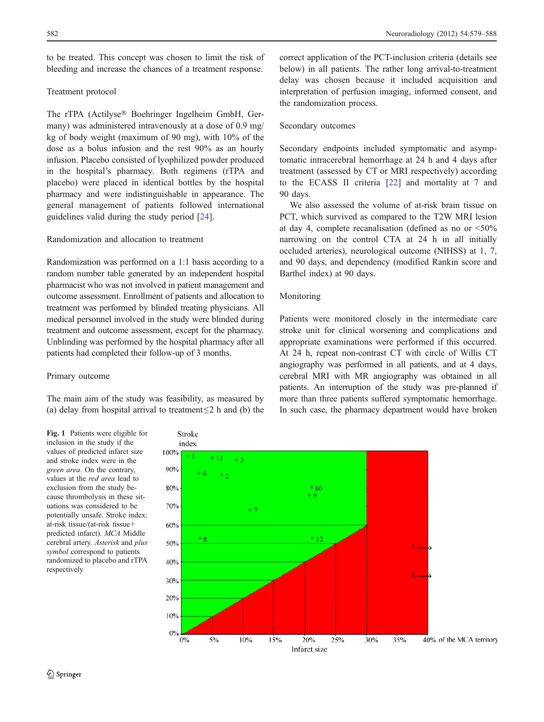<span id="page-3-0"></span>to be treated. This concept was chosen to limit the risk of bleeding and increase the chances of a treatment response.

## Treatment protocol

The rTPA (Actilyse® Boehringer Ingelheim GmbH, Germany) was administered intravenously at a dose of 0.9 mg/ kg of body weight (maximum of 90 mg), with 10% of the dose as a bolus infusion and the rest 90% as an hourly infusion. Placebo consisted of lyophilized powder produced in the hospital's pharmacy. Both regimens (rTPA and placebo) were placed in identical bottles by the hospital pharmacy and were indistinguishable in appearance. The general management of patients followed international guidelines valid during the study period [\[24](#page-9-0)].

# Randomization and allocation to treatment

Randomization was performed on a 1:1 basis according to a random number table generated by an independent hospital pharmacist who was not involved in patient management and outcome assessment. Enrollment of patients and allocation to treatment was performed by blinded treating physicians. All medical personnel involved in the study were blinded during treatment and outcome assessment, except for the pharmacy. Unblinding was performed by the hospital pharmacy after all patients had completed their follow-up of 3 months.

## Primary outcome

The main aim of the study was feasibility, as measured by (a) delay from hospital arrival to treatment≤2 h and (b) the

Fig. 1 Patients were eligible for inclusion in the study if the values of predicted infarct size and stroke index were in the green area. On the contrary, values at the red area lead to exclusion from the study because thrombolysis in these situations was considered to be potentially unsafe. Stroke index: at-risk tissue/(at-risk tissue+ predicted infarct). MCA Middle cerebral artery. Asterisk and plus symbol correspond to patients randomized to placebo and rTPA

respectively

correct application of the PCT-inclusion criteria (details see below) in all patients. The rather long arrival-to-treatment delay was chosen because it included acquisition and interpretation of perfusion imaging, informed consent, and the randomization process.

## Secondary outcomes

Secondary endpoints included symptomatic and asymptomatic intracerebral hemorrhage at 24 h and 4 days after treatment (assessed by CT or MRI respectively) according to the ECASS II criteria [[22](#page-9-0)] and mortality at 7 and 90 days.

We also assessed the volume of at-risk brain tissue on PCT, which survived as compared to the T2W MRI lesion at day 4, complete recanalisation (defined as no or <50% narrowing on the control CTA at 24 h in all initially occluded arteries), neurological outcome (NIHSS) at 1, 7, and 90 days, and dependency (modified Rankin score and Barthel index) at 90 days.

## Monitoring

Patients were monitored closely in the intermediate care stroke unit for clinical worsening and complications and appropriate examinations were performed if this occurred. At 24 h, repeat non-contrast CT with circle of Willis CT angiography was performed in all patients, and at 4 days, cerebral MRI with MR angiography was obtained in all patients. An interruption of the study was pre-planned if more than three patients suffered symptomatic hemorrhage. In such case, the pharmacy department would have broken

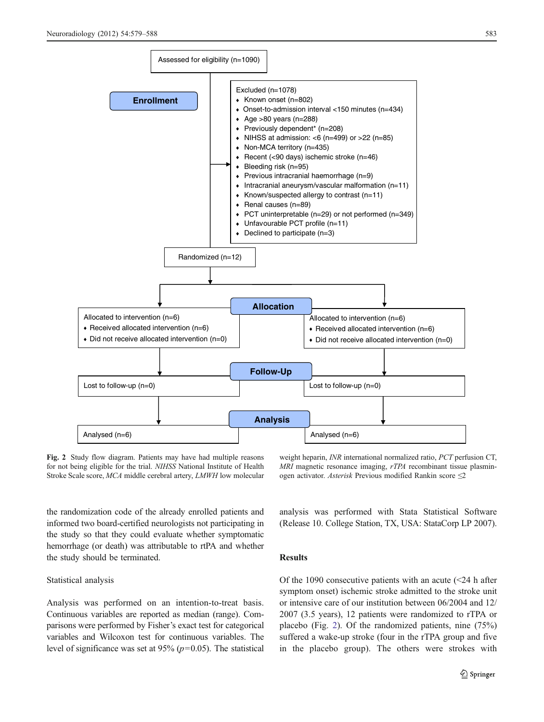

Fig. 2 Study flow diagram. Patients may have had multiple reasons for not being eligible for the trial. NIHSS National Institute of Health Stroke Scale score, MCA middle cerebral artery, LMWH low molecular

weight heparin, INR international normalized ratio, PCT perfusion CT, MRI magnetic resonance imaging, rTPA recombinant tissue plasminogen activator. Asterisk Previous modified Rankin score ≤2

the randomization code of the already enrolled patients and informed two board-certified neurologists not participating in the study so that they could evaluate whether symptomatic hemorrhage (or death) was attributable to rtPA and whether the study should be terminated.

## Statistical analysis

Analysis was performed on an intention-to-treat basis. Continuous variables are reported as median (range). Comparisons were performed by Fisher's exact test for categorical variables and Wilcoxon test for continuous variables. The level of significance was set at  $95\%$  ( $p=0.05$ ). The statistical analysis was performed with Stata Statistical Software (Release 10. College Station, TX, USA: StataCorp LP 2007).

## Results

Of the 1090 consecutive patients with an acute  $\leq 24$  h after symptom onset) ischemic stroke admitted to the stroke unit or intensive care of our institution between 06/2004 and 12/ 2007 (3.5 years), 12 patients were randomized to rTPA or placebo (Fig. 2). Of the randomized patients, nine (75%) suffered a wake-up stroke (four in the rTPA group and five in the placebo group). The others were strokes with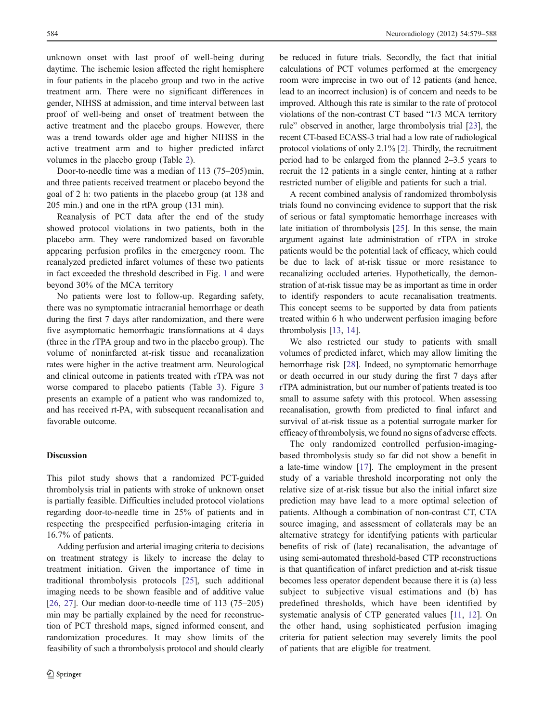unknown onset with last proof of well-being during daytime. The ischemic lesion affected the right hemisphere in four patients in the placebo group and two in the active treatment arm. There were no significant differences in gender, NIHSS at admission, and time interval between last proof of well-being and onset of treatment between the active treatment and the placebo groups. However, there was a trend towards older age and higher NIHSS in the active treatment arm and to higher predicted infarct volumes in the placebo group (Table [2](#page-6-0)).

Door-to-needle time was a median of 113 (75–205)min, and three patients received treatment or placebo beyond the goal of 2 h: two patients in the placebo group (at 138 and 205 min.) and one in the rtPA group (131 min).

Reanalysis of PCT data after the end of the study showed protocol violations in two patients, both in the placebo arm. They were randomized based on favorable appearing perfusion profiles in the emergency room. The reanalyzed predicted infarct volumes of these two patients in fact exceeded the threshold described in Fig. [1](#page-3-0) and were beyond 30% of the MCA territory

No patients were lost to follow-up. Regarding safety, there was no symptomatic intracranial hemorrhage or death during the first 7 days after randomization, and there were five asymptomatic hemorrhagic transformations at 4 days (three in the rTPA group and two in the placebo group). The volume of noninfarcted at-risk tissue and recanalization rates were higher in the active treatment arm. Neurological and clinical outcome in patients treated with rTPA was not worse compared to placebo patients (Table [3](#page-7-0)). Figure [3](#page-7-0) presents an example of a patient who was randomized to, and has received rt-PA, with subsequent recanalisation and favorable outcome.

## **Discussion**

This pilot study shows that a randomized PCT-guided thrombolysis trial in patients with stroke of unknown onset is partially feasible. Difficulties included protocol violations regarding door-to-needle time in 25% of patients and in respecting the prespecified perfusion-imaging criteria in 16.7% of patients.

Adding perfusion and arterial imaging criteria to decisions on treatment strategy is likely to increase the delay to treatment initiation. Given the importance of time in traditional thrombolysis protocols [[25\]](#page-9-0), such additional imaging needs to be shown feasible and of additive value [\[26,](#page-9-0) [27](#page-9-0)]. Our median door-to-needle time of 113 (75–205) min may be partially explained by the need for reconstruction of PCT threshold maps, signed informed consent, and randomization procedures. It may show limits of the feasibility of such a thrombolysis protocol and should clearly be reduced in future trials. Secondly, the fact that initial calculations of PCT volumes performed at the emergency room were imprecise in two out of 12 patients (and hence, lead to an incorrect inclusion) is of concern and needs to be improved. Although this rate is similar to the rate of protocol violations of the non-contrast CT based "1/3 MCA territory rule" observed in another, large thrombolysis trial [\[23](#page-9-0)], the recent CT-based ECASS-3 trial had a low rate of radiological protocol violations of only 2.1% [[2\]](#page-8-0). Thirdly, the recruitment period had to be enlarged from the planned 2–3.5 years to recruit the 12 patients in a single center, hinting at a rather restricted number of eligible and patients for such a trial.

A recent combined analysis of randomized thrombolysis trials found no convincing evidence to support that the risk of serious or fatal symptomatic hemorrhage increases with late initiation of thrombolysis [\[25](#page-9-0)]. In this sense, the main argument against late administration of rTPA in stroke patients would be the potential lack of efficacy, which could be due to lack of at-risk tissue or more resistance to recanalizing occluded arteries. Hypothetically, the demonstration of at-risk tissue may be as important as time in order to identify responders to acute recanalisation treatments. This concept seems to be supported by data from patients treated within 6 h who underwent perfusion imaging before thrombolysis [[13,](#page-8-0) [14](#page-8-0)].

We also restricted our study to patients with small volumes of predicted infarct, which may allow limiting the hemorrhage risk [\[28](#page-9-0)]. Indeed, no symptomatic hemorrhage or death occurred in our study during the first 7 days after rTPA administration, but our number of patients treated is too small to assume safety with this protocol. When assessing recanalisation, growth from predicted to final infarct and survival of at-risk tissue as a potential surrogate marker for efficacy of thrombolysis, we found no signs of adverse effects.

The only randomized controlled perfusion-imagingbased thrombolysis study so far did not show a benefit in a late-time window [[17\]](#page-8-0). The employment in the present study of a variable threshold incorporating not only the relative size of at-risk tissue but also the initial infarct size prediction may have lead to a more optimal selection of patients. Although a combination of non-contrast CT, CTA source imaging, and assessment of collaterals may be an alternative strategy for identifying patients with particular benefits of risk of (late) recanalisation, the advantage of using semi-automated threshold-based CTP reconstructions is that quantification of infarct prediction and at-risk tissue becomes less operator dependent because there it is (a) less subject to subjective visual estimations and (b) has predefined thresholds, which have been identified by systematic analysis of CTP generated values [\[11](#page-8-0), [12](#page-8-0)]. On the other hand, using sophisticated perfusion imaging criteria for patient selection may severely limits the pool of patients that are eligible for treatment.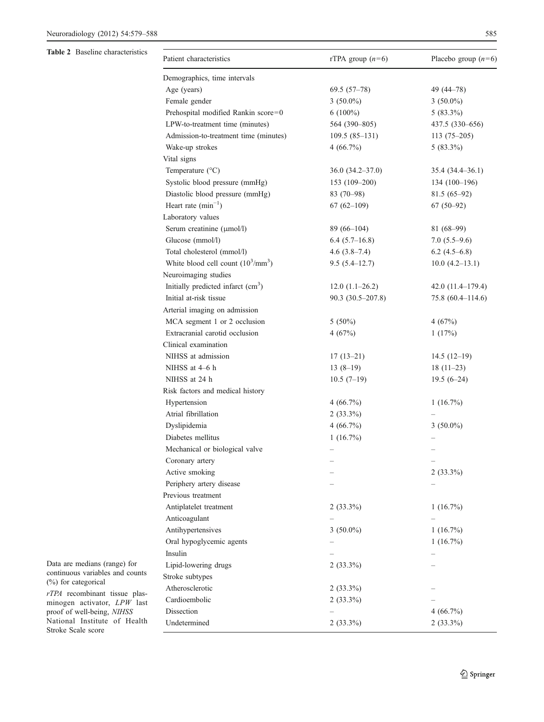<span id="page-6-0"></span>Table 2 Baseline characteristics

| Patient characteristics                     | rTPA group $(n=6)$   | Placebo group $(n=6)$ |
|---------------------------------------------|----------------------|-----------------------|
| Demographics, time intervals                |                      |                       |
| Age (years)                                 | $69.5(57-78)$        | 49 (44–78)            |
| Female gender                               | $3(50.0\%)$          | $3(50.0\%)$           |
| Prehospital modified Rankin score=0         | $6(100\%)$           | $5(83.3\%)$           |
| LPW-to-treatment time (minutes)             | 564 (390-805)        | 437.5 (330-656)       |
| Admission-to-treatment time (minutes)       | $109.5(85-131)$      | $113(75-205)$         |
| Wake-up strokes                             | 4(66.7%)             | $5(83.3\%)$           |
| Vital signs                                 |                      |                       |
| Temperature (°C)                            | $36.0 (34.2 - 37.0)$ | $35.4(34.4-36.1)$     |
| Systolic blood pressure (mmHg)              | 153 (109-200)        | $134(100-196)$        |
| Diastolic blood pressure (mmHg)             | $83(70-98)$          | $81.5(65-92)$         |
| Heart rate $(min^{-1})$                     | $67(62-109)$         | $67(50-92)$           |
| Laboratory values                           |                      |                       |
| Serum creatinine (µmol/l)                   | $89(66-104)$         | 81 (68-99)            |
| Glucose (mmol/l)                            | $6.4(5.7-16.8)$      | $7.0(5.5-9.6)$        |
| Total cholesterol (mmol/l)                  | $4.6(3.8-7.4)$       | $6.2(4.5-6.8)$        |
| White blood cell count $(10^3/\text{mm}^3)$ | $9.5(5.4-12.7)$      | $10.0 (4.2 - 13.1)$   |
| Neuroimaging studies                        |                      |                       |
| Initially predicted infarct $(cm3)$         | $12.0(1.1-26.2)$     | $42.0(11.4-179.4)$    |
| Initial at-risk tissue                      | $90.3(30.5-207.8)$   | $75.8(60.4 - 114.6)$  |
| Arterial imaging on admission               |                      |                       |
| MCA segment 1 or 2 occlusion                | $5(50\%)$            | 4(67%)                |
| Extracranial carotid occlusion              | 4(67%)               | 1(17%)                |
| Clinical examination                        |                      |                       |
| NIHSS at admission                          | $17(13-21)$          | $14.5(12-19)$         |
| NIHSS at 4–6 h                              | $13(8-19)$           | $18(11-23)$           |
| NIHSS at 24 h                               | $10.5(7-19)$         | $19.5(6-24)$          |
| Risk factors and medical history            |                      |                       |
| Hypertension                                | 4(66.7%)             | $1(16.7\%)$           |
| Atrial fibrillation                         | $2(33.3\%)$          |                       |
| Dyslipidemia                                | 4(66.7%)             | $3(50.0\%)$           |
| Diabetes mellitus                           | 1(16.7%)             |                       |
| Mechanical or biological valve              |                      |                       |
| Coronary artery                             |                      |                       |
| Active smoking                              |                      | $2(33.3\%)$           |
| Periphery artery disease                    |                      |                       |
| Previous treatment                          |                      |                       |
| Antiplatelet treatment                      | $2(33.3\%)$          | $1(16.7\%)$           |
| Anticoagulant                               |                      |                       |
| Antihypertensives                           | $3(50.0\%)$          | $1(16.7\%)$           |
| Oral hypoglycemic agents                    |                      | $1(16.7\%)$           |
| Insulin                                     |                      |                       |
| Lipid-lowering drugs                        | $2(33.3\%)$          |                       |
| Stroke subtypes                             |                      |                       |
| Atherosclerotic                             | $2(33.3\%)$          |                       |
| Cardioembolic                               | $2(33.3\%)$          |                       |
| Dissection                                  |                      | 4(66.7%)              |
| Undetermined                                | $2(33.3\%)$          | $2(33.3\%)$           |

Data are medians (range) for continuous variables and counts (%) for categorical

rTPA recombinant tissue plasminogen activator, LPW last proof of well-being, NIHSS National Institute of Health Stroke Scale score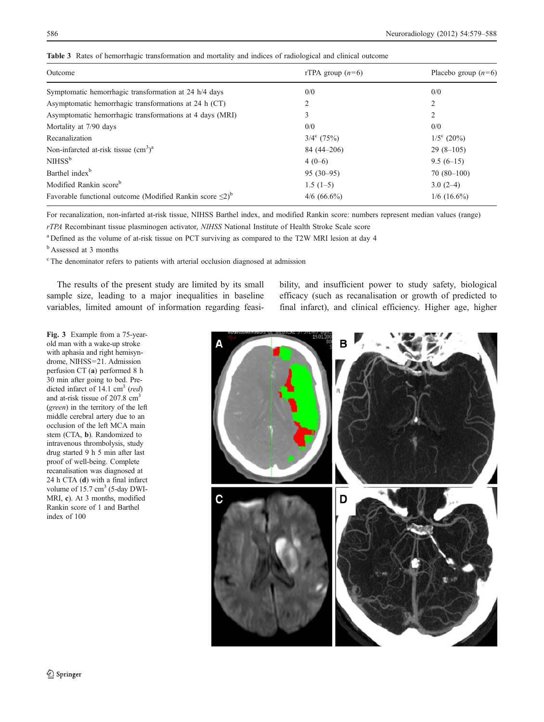| Outcome                                                                     | rTPA group $(n=6)$ | Placebo group $(n=6)$ |
|-----------------------------------------------------------------------------|--------------------|-----------------------|
| Symptomatic hemorrhagic transformation at 24 h/4 days                       | 0/0                | 0/0                   |
| Asymptomatic hemorrhagic transformations at 24 h (CT)                       | 2                  | 2                     |
| Asymptomatic hemorrhagic transformations at 4 days (MRI)                    | 3                  | 2                     |
| Mortality at 7/90 days                                                      | 0/0                | 0/0                   |
| Recanalization                                                              | $3/4^c$ (75%)      | $1/5^{\circ}$ (20%)   |
| Non-infarcted at-risk tissue $(cm3)a$                                       | $84(44-206)$       | $29(8-105)$           |
| NIHSS <sup>b</sup>                                                          | $4(0-6)$           | $9.5(6-15)$           |
| Barthel index <sup>b</sup>                                                  | $95(30-95)$        | $70(80-100)$          |
| Modified Rankin score <sup>b</sup>                                          | $1.5(1-5)$         | $3.0(2-4)$            |
| Favorable functional outcome (Modified Rankin score $\leq 2$ ) <sup>b</sup> | $4/6$ (66.6%)      | $1/6$ (16.6%)         |

<span id="page-7-0"></span>Table 3 Rates of hemorrhagic transformation and mortality and indices of radiological and clinical outcome

For recanalization, non-infarted at-risk tissue, NIHSS Barthel index, and modified Rankin score: numbers represent median values (range) rTPA Recombinant tissue plasminogen activator, NIHSS National Institute of Health Stroke Scale score

<sup>a</sup> Defined as the volume of at-risk tissue on PCT surviving as compared to the T2W MRI lesion at day 4

<sup>b</sup> Assessed at 3 months

<sup>c</sup> The denominator refers to patients with arterial occlusion diagnosed at admission

The results of the present study are limited by its small sample size, leading to a major inequalities in baseline variables, limited amount of information regarding feasibility, and insufficient power to study safety, biological efficacy (such as recanalisation or growth of predicted to final infarct), and clinical efficiency. Higher age, higher

Fig. 3 Example from a 75-yearold man with a wake-up stroke with aphasia and right hemisyndrome, NIHSS=21. Admission perfusion CT (a) performed 8 h 30 min after going to bed. Predicted infarct of 14.1  $\text{cm}^3$  (red) and at-risk tissue of 207.8 cm<sup>3</sup> (green) in the territory of the left middle cerebral artery due to an occlusion of the left MCA main stem (CTA, b). Randomized to intravenous thrombolysis, study drug started 9 h 5 min after last proof of well-being. Complete recanalisation was diagnosed at 24 h CTA (d) with a final infarct volume of  $15.7 \text{ cm}^3$  (5-day DWI-MRI, c). At 3 months, modified Rankin score of 1 and Barthel index of 100

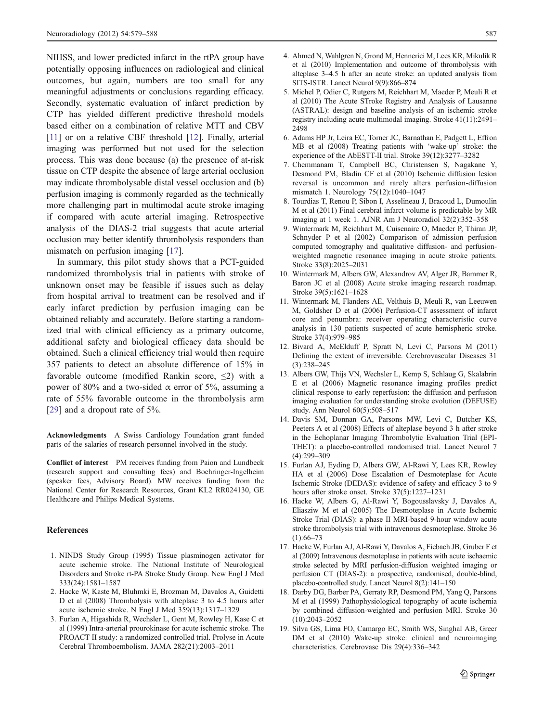<span id="page-8-0"></span>NIHSS, and lower predicted infarct in the rtPA group have potentially opposing influences on radiological and clinical outcomes, but again, numbers are too small for any meaningful adjustments or conclusions regarding efficacy. Secondly, systematic evaluation of infarct prediction by CTP has yielded different predictive threshold models based either on a combination of relative MTT and CBV [11] or on a relative CBF threshold [12]. Finally, arterial imaging was performed but not used for the selection process. This was done because (a) the presence of at-risk tissue on CTP despite the absence of large arterial occlusion may indicate thrombolysable distal vessel occlusion and (b) perfusion imaging is commonly regarded as the technically more challenging part in multimodal acute stroke imaging if compared with acute arterial imaging. Retrospective analysis of the DIAS-2 trial suggests that acute arterial occlusion may better identify thrombolysis responders than mismatch on perfusion imaging [17].

In summary, this pilot study shows that a PCT-guided randomized thrombolysis trial in patients with stroke of unknown onset may be feasible if issues such as delay from hospital arrival to treatment can be resolved and if early infarct prediction by perfusion imaging can be obtained reliably and accurately. Before starting a randomized trial with clinical efficiency as a primary outcome, additional safety and biological efficacy data should be obtained. Such a clinical efficiency trial would then require 357 patients to detect an absolute difference of 15% in favorable outcome (modified Rankin score,  $\leq$ 2) with a power of 80% and a two-sided  $\alpha$  error of 5%, assuming a rate of 55% favorable outcome in the thrombolysis arm [\[29](#page-9-0)] and a dropout rate of 5%.

Acknowledgments A Swiss Cardiology Foundation grant funded parts of the salaries of research personnel involved in the study.

Conflict of interest PM receives funding from Paion and Lundbeck (research support and consulting fees) and Boehringer-Ingelheim (speaker fees, Advisory Board). MW receives funding from the National Center for Research Resources, Grant KL2 RR024130, GE Healthcare and Philips Medical Systems.

#### References

- 1. NINDS Study Group (1995) Tissue plasminogen activator for acute ischemic stroke. The National Institute of Neurological Disorders and Stroke rt-PA Stroke Study Group. New Engl J Med 333(24):1581–1587
- 2. Hacke W, Kaste M, Bluhmki E, Brozman M, Davalos A, Guidetti D et al (2008) Thrombolysis with alteplase 3 to 4.5 hours after acute ischemic stroke. N Engl J Med 359(13):1317–1329
- 3. Furlan A, Higashida R, Wechsler L, Gent M, Rowley H, Kase C et al (1999) Intra-arterial prourokinase for acute ischemic stroke. The PROACT II study: a randomized controlled trial. Prolyse in Acute Cerebral Thromboembolism. JAMA 282(21):2003–2011
- 4. Ahmed N, Wahlgren N, Grond M, Hennerici M, Lees KR, Mikulik R et al (2010) Implementation and outcome of thrombolysis with alteplase 3–4.5 h after an acute stroke: an updated analysis from SITS-ISTR. Lancet Neurol 9(9):866–874
- 5. Michel P, Odier C, Rutgers M, Reichhart M, Maeder P, Meuli R et al (2010) The Acute STroke Registry and Analysis of Lausanne (ASTRAL): design and baseline analysis of an ischemic stroke registry including acute multimodal imaging. Stroke 41(11):2491– 2498
- 6. Adams HP Jr, Leira EC, Torner JC, Barnathan E, Padgett L, Effron MB et al (2008) Treating patients with 'wake-up' stroke: the experience of the AbESTT-II trial. Stroke 39(12):3277–3282
- 7. Chemmanam T, Campbell BC, Christensen S, Nagakane Y, Desmond PM, Bladin CF et al (2010) Ischemic diffusion lesion reversal is uncommon and rarely alters perfusion-diffusion mismatch 1. Neurology 75(12):1040–1047
- 8. Tourdias T, Renou P, Sibon I, Asselineau J, Bracoud L, Dumoulin M et al (2011) Final cerebral infarct volume is predictable by MR imaging at 1 week 1. AJNR Am J Neuroradiol 32(2):352–358
- 9. Wintermark M, Reichhart M, Cuisenaire O, Maeder P, Thiran JP, Schnyder P et al (2002) Comparison of admission perfusion computed tomography and qualitative diffusion- and perfusionweighted magnetic resonance imaging in acute stroke patients. Stroke 33(8):2025–2031
- 10. Wintermark M, Albers GW, Alexandrov AV, Alger JR, Bammer R, Baron JC et al (2008) Acute stroke imaging research roadmap. Stroke 39(5):1621–1628
- 11. Wintermark M, Flanders AE, Velthuis B, Meuli R, van Leeuwen M, Goldsher D et al (2006) Perfusion-CT assessment of infarct core and penumbra: receiver operating characteristic curve analysis in 130 patients suspected of acute hemispheric stroke. Stroke 37(4):979–985
- 12. Bivard A, McElduff P, Spratt N, Levi C, Parsons M (2011) Defining the extent of irreversible. Cerebrovascular Diseases 31 (3):238–245
- 13. Albers GW, Thijs VN, Wechsler L, Kemp S, Schlaug G, Skalabrin E et al (2006) Magnetic resonance imaging profiles predict clinical response to early reperfusion: the diffusion and perfusion imaging evaluation for understanding stroke evolution (DEFUSE) study. Ann Neurol 60(5):508–517
- 14. Davis SM, Donnan GA, Parsons MW, Levi C, Butcher KS, Peeters A et al (2008) Effects of alteplase beyond 3 h after stroke in the Echoplanar Imaging Thrombolytic Evaluation Trial (EPI-THET): a placebo-controlled randomised trial. Lancet Neurol 7 (4):299–309
- 15. Furlan AJ, Eyding D, Albers GW, Al-Rawi Y, Lees KR, Rowley HA et al (2006) Dose Escalation of Desmoteplase for Acute Ischemic Stroke (DEDAS): evidence of safety and efficacy 3 to 9 hours after stroke onset. Stroke 37(5):1227–1231
- 16. Hacke W, Albers G, Al-Rawi Y, Bogousslavsky J, Davalos A, Eliasziw M et al (2005) The Desmoteplase in Acute Ischemic Stroke Trial (DIAS): a phase II MRI-based 9-hour window acute stroke thrombolysis trial with intravenous desmoteplase. Stroke 36  $(1):66-73$
- 17. Hacke W, Furlan AJ, Al-Rawi Y, Davalos A, Fiebach JB, Gruber F et al (2009) Intravenous desmoteplase in patients with acute ischaemic stroke selected by MRI perfusion-diffusion weighted imaging or perfusion CT (DIAS-2): a prospective, randomised, double-blind, placebo-controlled study. Lancet Neurol 8(2):141–150
- 18. Darby DG, Barber PA, Gerraty RP, Desmond PM, Yang Q, Parsons M et al (1999) Pathophysiological topography of acute ischemia by combined diffusion-weighted and perfusion MRI. Stroke 30 (10):2043–2052
- 19. Silva GS, Lima FO, Camargo EC, Smith WS, Singhal AB, Greer DM et al (2010) Wake-up stroke: clinical and neuroimaging characteristics. Cerebrovasc Dis 29(4):336–342